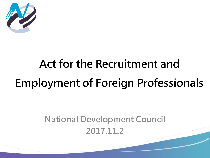

## Act for the Recruitment and Employment of Foreign Professionals

## National Development Council 2017.11.2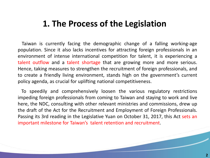#### **1. The Process of the Legislation**

 Taiwan is currently facing the demographic change of a falling working-age population. Since it also lacks incentives for attracting foreign professionals in an environment of intense international competition for talent, it is experiencing a talent outflow and a talent shortage that are growing more and more serious. Hence, taking measures to strengthen the recruitment of foreign professionals, and to create a friendly living environment, stands high on the government's current policy agenda, as crucial for uplifting national competitiveness.

 To speedily and comprehensively loosen the various regulatory restrictions impeding foreign professionals from coming to Taiwan and staying to work and live here, the NDC, consulting with other relevant ministries and commissions, drew up the draft of the Act for the Recruitment and Employment of Foreign Professionals. Passing its 3rd reading in the Legislative Yuan on October 31, 2017, this Act sets an important milestone for Taiwan's talent retention and recruitment.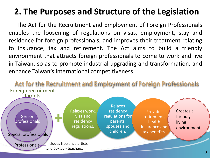## **2. The Purposes and Structure of the Legislation**

 The Act for the Recruitment and Employment of Foreign Professionals enables the loosening of regulations on visas, employment, stay and residence for foreign professionals, and improves their treatment relating to insurance, tax and retirement. The Act aims to build a friendly environment that attracts foreign professionals to come to work and live in Taiwan, so as to promote industrial upgrading and transformation, and enhance Taiwan's international competitiveness.

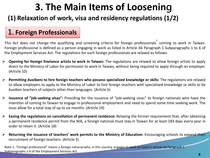## **3. The Main Items of Loosenin**g

#### **(1) Relaxation of work, visa and residency regulations (1/2)**

#### 1. **Foreign Professionals**

This Act does not change the qualifying and screening criteria for foreign professionals<sup>1</sup> coming to work in Taiwan. Foreign professional is defined as a person engaging in work as listed in Article 46 Paragraph 1 Subparagraphs 1 to 6 of the Employment Services Act. The regulations for such foreign professionals are relaxed as follows:

- **Opening for foreign freelance artists to work in Taiwan:** The regulations are relaxed to allow foreign artists to apply direct to the Ministry of Labor for permission to work in Taiwan, without being required to apply through an employer. (Article 10)
- **Permitting** *buxibans* **to hire foreign teachers who possess specialized knowledge or skills:** The regulations are relaxed to allow employers to apply to the Ministry of Labor to hire foreign teachers with specialized knowledge or skills to be *buxiban* teachers of subjects other than languages. (Article 6)
- **Issuance of "job-seeking visas":** Providing for the issuance of "job-seeking visas" to foreign nationals who have the intention of coming to Taiwan to engage in professional employment and need to spend some time seeking work. The visas allow for a total stay of up to six months. (Article 19)
- **Easing the regulations on cancellation of permanent residence:** Relaxing the former requirement that, after obtaining a permanent residence permit from the NIA, a foreign national must stay in Taiwan for at least 183 days every year in order to retain it. (Article 18)
- **Returning the issuance of teachers' work permits to the Ministry of Education:** Encouraging schools to expand their recruitment of foreign teachers. (Article 5)

Note 1: "Foreign professional" means a foreign national who, in this country, engages in work as listed in Article 46 Paragraph 1 Subparagraphs 1-6 of the Employment Services Act.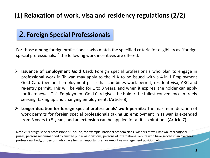#### **(1) Relaxation of work, visa and residency regulations (2/2)**

#### 2. **Foreign Special Professionals**

For those among foreign professionals who match the specified criteria for eligibility as "foreign special professionals," the following work incentives are offered:

- **Issuance of Employment Gold Card:** Foreign special professionals who plan to engage in professional work in Taiwan may apply to the NIA to be issued with a 4-in-1 Employment Gold Card (personal employment pass) that combines work permit, resident visa, ARC and re-entry permit. This will be valid for 1 to 3 years, and when it expires, the holder can apply for its renewal. This Employment Gold Card gives the holder the fullest convenience in freely seeking, taking up and changing employment. (Article 8)
- **Longer duration for foreign special professionals' work permits:** The maximum duration of work permits for foreign special professionals taking up employment in Taiwan is extended from 3 years to 5 years, and an extension can be applied for at its expiration. (Article 7)

Note 2: "Foreign special professionals" include, for example, national academicians, winners of well-known international prizes, persons recommended by trusted public associations, persons of international repute who have served in an overseas professional body, or persons who have held an important senior executive management position, etc.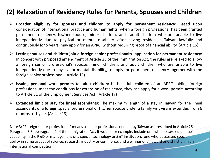#### **(2) Relaxation of Residency Rules for Parents, Spouses and Children**

- **Broader eligibility for spouses and children to apply for permanent residency:** Based upon consideration of international practice and human rights, when a foreign professional has been granted permanent residency, his/her spouse, minor children, and adult children who are unable to live independently due to physical or mental disability, after having resided in Taiwan lawfully and continuously for 5 years, may apply for an APRC, without requiring proof of financial ability. (Article 16)
- **Letting spouses and children join a foreign senior professional's** 3 **application for permanent residency:** In concert with proposed amendment of Article 25 of the Immigration Act, the rules are relaxed to allow a foreign senior professional's spouse, minor children, and adult children who are unable to live independently due to physical or mental disability, to apply for permanent residency together with the foreign senior professional. (Article 15)
- **Issuing personal work permits to adult children:** If the adult children of an APRC-holding foreign professional meet the conditions for extension of residence, they can apply for a work permit, according to Article 51 of the Employment Services Act. (Article 17)
- **Extended limit of stay for lineal ascendants:** The maximum length of a stay in Taiwan for the lineal ascendants of a foreign special professional or his/her spouse under a family visit visa is extended from 6 months to 1 year. (Article 13)

Note 3: "Foreign senior professional" means a senior professional needed by Taiwan as prescribed in Article 25 Paragraph 3 Subparagraph 2 of the Immigration Act. It would, for example, include one who possessed unique capability in the R&D or management of a special technology or S&T institution, one who possessed special ability in some aspect of science, research, industry or commerce, and a winner of an award or distinction in an international competition.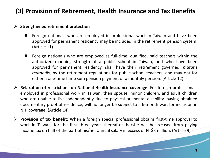#### **(3) Provision of Retirement, Health Insurance and Tax Benefits**

#### **Strengthened retirement protection**

- Foreign nationals who are employed in professional work in Taiwan and have been approved for permanent residency may be included in the retirement pension system. (Article 11)
- Foreign nationals who are employed as full-time, qualified, paid teachers within the authorized manning strength of a public school in Taiwan, and who have been approved for permanent residency, shall have their retirement governed, *mutatis mutandis*, by the retirement regulations for public school teachers, and may opt for either a one-time lump sum pension payment or a monthly pension. (Article 12)
- **Relaxation of restrictions on National Health Insurance coverage:** For foreign professionals employed in professional work in Taiwan, their spouse, minor children, and adult children who are unable to live independently due to physical or mental disability, having obtained documentary proof of residence, will no longer be subject to a 6-month wait for inclusion in NHI coverage. (Article 14)
- **Provision of tax benefit:** When a foreign special professional obtains first-time approval to work in Taiwan, for the first three years thereafter, he/she will be excused from paying income tax on half of the part of his/her annual salary in excess of NT\$3 million. (Article 9)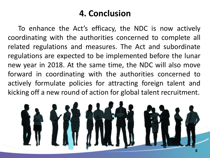### **4. Conclusion**

 To enhance the Act's efficacy, the NDC is now actively coordinating with the authorities concerned to complete all related regulations and measures. The Act and subordinate regulations are expected to be implemented before the lunar new year in 2018. At the same time, the NDC will also move forward in coordinating with the authorities concerned to actively formulate policies for attracting foreign talent and kicking off a new round of action for global talent recruitment.